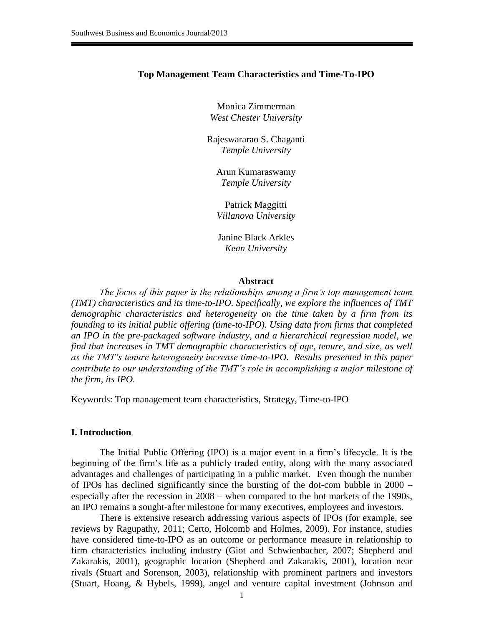#### **Top Management Team Characteristics and Time-To-IPO**

Monica Zimmerman *West Chester University*

Rajeswararao S. Chaganti *Temple University*

Arun Kumaraswamy *Temple University*

Patrick Maggitti *Villanova University*

Janine Black Arkles *Kean University*

#### **Abstract**

*The focus of this paper is the relationships among a firm's top management team (TMT) characteristics and its time-to-IPO. Specifically, we explore the influences of TMT demographic characteristics and heterogeneity on the time taken by a firm from its founding to its initial public offering (time-to-IPO). Using data from firms that completed an IPO in the pre-packaged software industry, and a hierarchical regression model, we find that increases in TMT demographic characteristics of age, tenure, and size, as well as the TMT's tenure heterogeneity increase time-to-IPO. Results presented in this paper contribute to our understanding of the TMT's role in accomplishing a major milestone of the firm, its IPO.*

Keywords: Top management team characteristics, Strategy, Time-to-IPO

#### **I. Introduction**

The Initial Public Offering (IPO) is a major event in a firm's lifecycle. It is the beginning of the firm's life as a publicly traded entity, along with the many associated advantages and challenges of participating in a public market. Even though the number of IPOs has declined significantly since the bursting of the dot-com bubble in 2000 – especially after the recession in 2008 – when compared to the hot markets of the 1990s, an IPO remains a sought-after milestone for many executives, employees and investors.

There is extensive research addressing various aspects of IPOs (for example, see reviews by Ragupathy, 2011; Certo, Holcomb and Holmes, 2009). For instance, studies have considered time-to-IPO as an outcome or performance measure in relationship to firm characteristics including industry (Giot and Schwienbacher, 2007; Shepherd and Zakarakis, 2001), geographic location (Shepherd and Zakarakis, 2001), location near rivals (Stuart and Sorenson, 2003), relationship with prominent partners and investors (Stuart, Hoang, & Hybels, 1999), angel and venture capital investment (Johnson and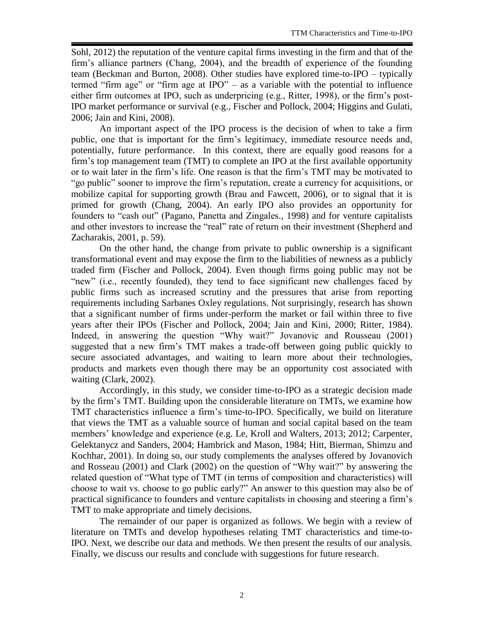Sohl, 2012) the reputation of the venture capital firms investing in the firm and that of the firm's alliance partners (Chang, 2004), and the breadth of experience of the founding team (Beckman and Burton, 2008). Other studies have explored time-to-IPO – typically termed "firm age" or "firm age at IPO" – as a variable with the potential to influence either firm outcomes at IPO, such as underpricing (e.g., Ritter, 1998), or the firm's post-IPO market performance or survival (e.g., Fischer and Pollock, 2004; Higgins and Gulati, 2006; Jain and Kini, 2008).

An important aspect of the IPO process is the decision of when to take a firm public, one that is important for the firm's legitimacy, immediate resource needs and, potentially, future performance. In this context, there are equally good reasons for a firm's top management team (TMT) to complete an IPO at the first available opportunity or to wait later in the firm's life. One reason is that the firm's TMT may be motivated to "go public" sooner to improve the firm's reputation, create a currency for acquisitions, or mobilize capital for supporting growth (Brau and Fawcett, 2006), or to signal that it is primed for growth (Chang, 2004). An early IPO also provides an opportunity for founders to "cash out" (Pagano, Panetta and Zingales*.*, 1998) and for venture capitalists and other investors to increase the "real" rate of return on their investment (Shepherd and Zacharakis, 2001, p. 59).

On the other hand, the change from private to public ownership is a significant transformational event and may expose the firm to the liabilities of newness as a publicly traded firm (Fischer and Pollock, 2004). Even though firms going public may not be "new" (i.e., recently founded), they tend to face significant new challenges faced by public firms such as increased scrutiny and the pressures that arise from reporting requirements including Sarbanes Oxley regulations. Not surprisingly, research has shown that a significant number of firms under-perform the market or fail within three to five years after their IPOs (Fischer and Pollock, 2004; Jain and Kini, 2000; Ritter, 1984). Indeed, in answering the question "Why wait?" Jovanovic and Rousseau (2001) suggested that a new firm's TMT makes a trade-off between going public quickly to secure associated advantages, and waiting to learn more about their technologies, products and markets even though there may be an opportunity cost associated with waiting (Clark, 2002).

Accordingly, in this study, we consider time-to-IPO as a strategic decision made by the firm's TMT. Building upon the considerable literature on TMTs, we examine how TMT characteristics influence a firm's time-to-IPO. Specifically, we build on literature that views the TMT as a valuable source of human and social capital based on the team members' knowledge and experience (e.g. Le, Kroll and Walters*,* 2013; 2012; Carpenter, Gelektanycz and Sanders, 2004; Hambrick and Mason, 1984; Hitt, Bierman, Shimzu and Kochhar, 2001). In doing so, our study complements the analyses offered by Jovanovich and Rosseau (2001) and Clark (2002) on the question of "Why wait?" by answering the related question of "What type of TMT (in terms of composition and characteristics) will choose to wait vs. choose to go public early?" An answer to this question may also be of practical significance to founders and venture capitalists in choosing and steering a firm's TMT to make appropriate and timely decisions.

The remainder of our paper is organized as follows. We begin with a review of literature on TMTs and develop hypotheses relating TMT characteristics and time-to-IPO. Next, we describe our data and methods. We then present the results of our analysis. Finally, we discuss our results and conclude with suggestions for future research.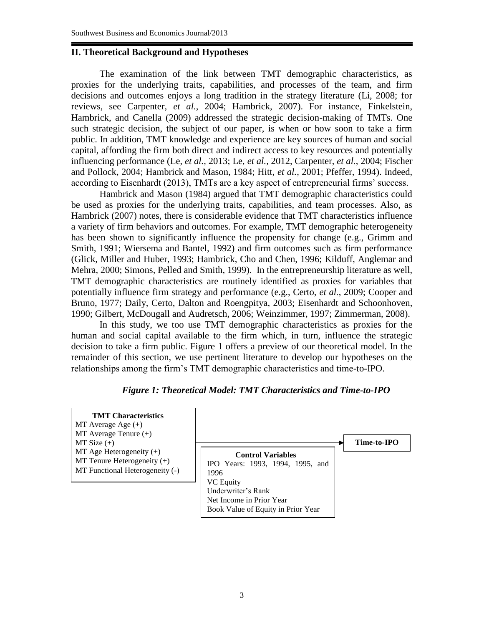# **II. Theoretical Background and Hypotheses**

The examination of the link between TMT demographic characteristics, as proxies for the underlying traits, capabilities, and processes of the team, and firm decisions and outcomes enjoys a long tradition in the strategy literature (Li, 2008; for reviews, see Carpenter, *et al.*, 2004; Hambrick, 2007). For instance, Finkelstein, Hambrick, and Canella (2009) addressed the strategic decision-making of TMTs. One such strategic decision, the subject of our paper, is when or how soon to take a firm public. In addition, TMT knowledge and experience are key sources of human and social capital, affording the firm both direct and indirect access to key resources and potentially influencing performance (Le, *et al.,* 2013; Le, *et al.,* 2012, Carpenter, *et al.*, 2004; Fischer and Pollock, 2004; Hambrick and Mason, 1984; Hitt, *et al.*, 2001; Pfeffer, 1994). Indeed, according to Eisenhardt (2013), TMTs are a key aspect of entrepreneurial firms' success.

Hambrick and Mason (1984) argued that TMT demographic characteristics could be used as proxies for the underlying traits, capabilities, and team processes. Also, as Hambrick (2007) notes, there is considerable evidence that TMT characteristics influence a variety of firm behaviors and outcomes. For example, TMT demographic heterogeneity has been shown to significantly influence the propensity for change (e.g., Grimm and Smith, 1991; Wiersema and Bantel, 1992) and firm outcomes such as firm performance (Glick, Miller and Huber, 1993; Hambrick, Cho and Chen, 1996; Kilduff, Anglemar and Mehra, 2000; Simons, Pelled and Smith, 1999). In the entrepreneurship literature as well, TMT demographic characteristics are routinely identified as proxies for variables that potentially influence firm strategy and performance (e.g., Certo, *et al.*, 2009; Cooper and Bruno, 1977; Daily, Certo, Dalton and Roengpitya, 2003; Eisenhardt and Schoonhoven, 1990; Gilbert, McDougall and Audretsch, 2006; Weinzimmer, 1997; Zimmerman, 2008).

In this study, we too use TMT demographic characteristics as proxies for the human and social capital available to the firm which, in turn, influence the strategic decision to take a firm public. Figure 1 offers a preview of our theoretical model. In the remainder of this section, we use pertinent literature to develop our hypotheses on the relationships among the firm's TMT demographic characteristics and time-to-IPO.

## *Figure 1: Theoretical Model: TMT Characteristics and Time-to-IPO*

**TMT Characteristics**  $MT$  Average Age  $(+)$  $MT$  Average Tenure  $(+)$  $MT Size (+)$ MT Age Heterogeneity (+)  $MT$  Tenure Heterogeneity  $(+)$ MT Functional Heterogeneity (-)

**Control Variables** IPO Years: 1993, 1994, 1995, and 1996 VC Equity Underwriter's Rank Net Income in Prior Year Book Value of Equity in Prior Year

**Time-to-IPO**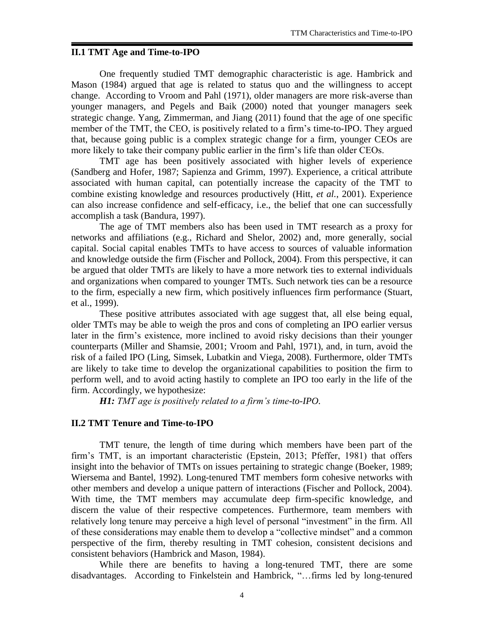# **II.1 TMT Age and Time-to-IPO**

One frequently studied TMT demographic characteristic is age. Hambrick and Mason (1984) argued that age is related to status quo and the willingness to accept change. According to Vroom and Pahl (1971), older managers are more risk-averse than younger managers, and Pegels and Baik (2000) noted that younger managers seek strategic change. Yang, Zimmerman, and Jiang (2011) found that the age of one specific member of the TMT, the CEO, is positively related to a firm's time-to-IPO. They argued that, because going public is a complex strategic change for a firm, younger CEOs are more likely to take their company public earlier in the firm's life than older CEOs.

TMT age has been positively associated with higher levels of experience (Sandberg and Hofer, 1987; Sapienza and Grimm, 1997). Experience, a critical attribute associated with human capital, can potentially increase the capacity of the TMT to combine existing knowledge and resources productively (Hitt, *et al.*, 2001). Experience can also increase confidence and self-efficacy, i.e., the belief that one can successfully accomplish a task (Bandura, 1997).

The age of TMT members also has been used in TMT research as a proxy for networks and affiliations (e.g., Richard and Shelor, 2002) and, more generally, social capital. Social capital enables TMTs to have access to sources of valuable information and knowledge outside the firm (Fischer and Pollock, 2004). From this perspective, it can be argued that older TMTs are likely to have a more network ties to external individuals and organizations when compared to younger TMTs. Such network ties can be a resource to the firm, especially a new firm, which positively influences firm performance (Stuart, et al., 1999).

These positive attributes associated with age suggest that, all else being equal, older TMTs may be able to weigh the pros and cons of completing an IPO earlier versus later in the firm's existence, more inclined to avoid risky decisions than their younger counterparts (Miller and Shamsie, 2001; Vroom and Pahl, 1971), and, in turn, avoid the risk of a failed IPO (Ling, Simsek, Lubatkin and Viega, 2008). Furthermore, older TMTs are likely to take time to develop the organizational capabilities to position the firm to perform well, and to avoid acting hastily to complete an IPO too early in the life of the firm. Accordingly, we hypothesize:

*H1: TMT age is positively related to a firm's time-to-IPO.*

## **II.2 TMT Tenure and Time-to-IPO**

TMT tenure, the length of time during which members have been part of the firm's TMT, is an important characteristic (Epstein, 2013; Pfeffer, 1981) that offers insight into the behavior of TMTs on issues pertaining to strategic change (Boeker, 1989; Wiersema and Bantel, 1992). Long-tenured TMT members form cohesive networks with other members and develop a unique pattern of interactions (Fischer and Pollock, 2004). With time, the TMT members may accumulate deep firm-specific knowledge, and discern the value of their respective competences. Furthermore, team members with relatively long tenure may perceive a high level of personal "investment" in the firm. All of these considerations may enable them to develop a "collective mindset" and a common perspective of the firm, thereby resulting in TMT cohesion, consistent decisions and consistent behaviors (Hambrick and Mason, 1984).

While there are benefits to having a long-tenured TMT, there are some disadvantages. According to Finkelstein and Hambrick, "…firms led by long-tenured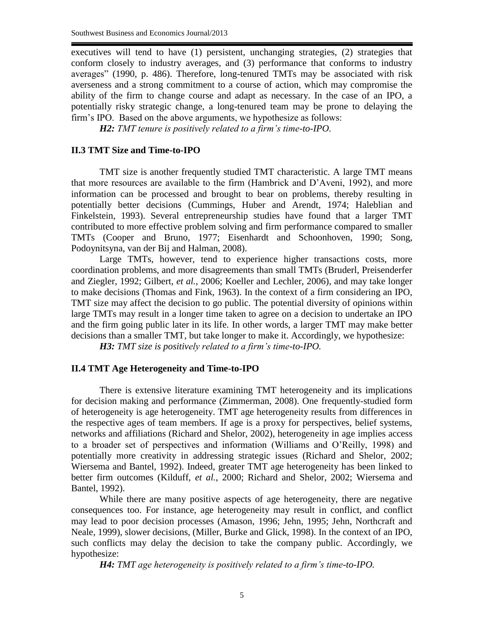executives will tend to have (1) persistent, unchanging strategies, (2) strategies that conform closely to industry averages, and (3) performance that conforms to industry averages" (1990, p. 486). Therefore, long-tenured TMTs may be associated with risk averseness and a strong commitment to a course of action, which may compromise the ability of the firm to change course and adapt as necessary. In the case of an IPO, a potentially risky strategic change, a long-tenured team may be prone to delaying the firm's IPO. Based on the above arguments, we hypothesize as follows:

*H2: TMT tenure is positively related to a firm's time-to-IPO.*

#### **II.3 TMT Size and Time-to-IPO**

TMT size is another frequently studied TMT characteristic. A large TMT means that more resources are available to the firm (Hambrick and D'Aveni, 1992), and more information can be processed and brought to bear on problems, thereby resulting in potentially better decisions (Cummings, Huber and Arendt, 1974; Haleblian and Finkelstein, 1993). Several entrepreneurship studies have found that a larger TMT contributed to more effective problem solving and firm performance compared to smaller TMTs (Cooper and Bruno, 1977; Eisenhardt and Schoonhoven, 1990; Song, Podoynitsyna, van der Bij and Halman, 2008).

Large TMTs, however, tend to experience higher transactions costs, more coordination problems, and more disagreements than small TMTs (Bruderl, Preisenderfer and Ziegler, 1992; Gilbert, *et al.*, 2006; Koeller and Lechler, 2006), and may take longer to make decisions (Thomas and Fink, 1963). In the context of a firm considering an IPO, TMT size may affect the decision to go public. The potential diversity of opinions within large TMTs may result in a longer time taken to agree on a decision to undertake an IPO and the firm going public later in its life. In other words, a larger TMT may make better decisions than a smaller TMT, but take longer to make it. Accordingly, we hypothesize:

*H3: TMT size is positively related to a firm's time-to-IPO.*

### **II.4 TMT Age Heterogeneity and Time-to-IPO**

There is extensive literature examining TMT heterogeneity and its implications for decision making and performance (Zimmerman, 2008). One frequently-studied form of heterogeneity is age heterogeneity. TMT age heterogeneity results from differences in the respective ages of team members. If age is a proxy for perspectives, belief systems, networks and affiliations (Richard and Shelor, 2002), heterogeneity in age implies access to a broader set of perspectives and information (Williams and O'Reilly, 1998) and potentially more creativity in addressing strategic issues (Richard and Shelor, 2002; Wiersema and Bantel, 1992). Indeed, greater TMT age heterogeneity has been linked to better firm outcomes (Kilduff, *et al.*, 2000; Richard and Shelor, 2002; Wiersema and Bantel, 1992).

While there are many positive aspects of age heterogeneity, there are negative consequences too. For instance, age heterogeneity may result in conflict, and conflict may lead to poor decision processes (Amason, 1996; Jehn, 1995; Jehn, Northcraft and Neale, 1999), slower decisions, (Miller, Burke and Glick, 1998). In the context of an IPO, such conflicts may delay the decision to take the company public. Accordingly, we hypothesize:

*H4: TMT age heterogeneity is positively related to a firm's time-to-IPO.*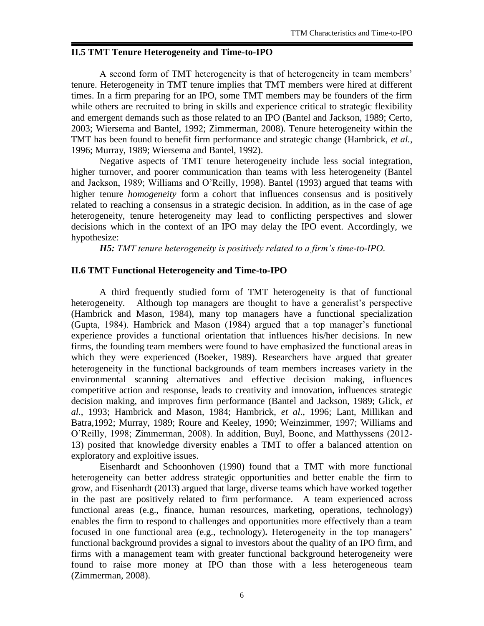# **II.5 TMT Tenure Heterogeneity and Time-to-IPO**

A second form of TMT heterogeneity is that of heterogeneity in team members' tenure. Heterogeneity in TMT tenure implies that TMT members were hired at different times. In a firm preparing for an IPO, some TMT members may be founders of the firm while others are recruited to bring in skills and experience critical to strategic flexibility and emergent demands such as those related to an IPO (Bantel and Jackson, 1989; Certo, 2003; Wiersema and Bantel, 1992; Zimmerman, 2008). Tenure heterogeneity within the TMT has been found to benefit firm performance and strategic change (Hambrick, *et al.*, 1996; Murray, 1989; Wiersema and Bantel, 1992).

Negative aspects of TMT tenure heterogeneity include less social integration, higher turnover, and poorer communication than teams with less heterogeneity (Bantel and Jackson, 1989; Williams and O'Reilly, 1998). Bantel (1993) argued that teams with higher tenure *homogeneity* form a cohort that influences consensus and is positively related to reaching a consensus in a strategic decision. In addition, as in the case of age heterogeneity, tenure heterogeneity may lead to conflicting perspectives and slower decisions which in the context of an IPO may delay the IPO event. Accordingly, we hypothesize:

*H5: TMT tenure heterogeneity is positively related to a firm's time-to-IPO.*

## **II.6 TMT Functional Heterogeneity and Time-to-IPO**

A third frequently studied form of TMT heterogeneity is that of functional heterogeneity. Although top managers are thought to have a generalist's perspective (Hambrick and Mason, 1984), many top managers have a functional specialization (Gupta, 1984). Hambrick and Mason (1984) argued that a top manager's functional experience provides a functional orientation that influences his/her decisions. In new firms, the founding team members were found to have emphasized the functional areas in which they were experienced (Boeker, 1989). Researchers have argued that greater heterogeneity in the functional backgrounds of team members increases variety in the environmental scanning alternatives and effective decision making, influences competitive action and response, leads to creativity and innovation, influences strategic decision making, and improves firm performance (Bantel and Jackson, 1989; Glick, *et al.*, 1993; Hambrick and Mason, 1984; Hambrick, *et al*., 1996; Lant, Millikan and Batra*,*1992; Murray, 1989; Roure and Keeley, 1990; Weinzimmer, 1997; Williams and O'Reilly, 1998; Zimmerman, 2008). In addition, Buyl, Boone, and Matthyssens (2012- 13) posited that knowledge diversity enables a TMT to offer a balanced attention on exploratory and exploitive issues.

Eisenhardt and Schoonhoven (1990) found that a TMT with more functional heterogeneity can better address strategic opportunities and better enable the firm to grow, and Eisenhardt (2013) argued that large, diverse teams which have worked together in the past are positively related to firm performance. A team experienced across functional areas (e.g., finance, human resources, marketing, operations, technology) enables the firm to respond to challenges and opportunities more effectively than a team focused in one functional area (e.g., technology)**.** Heterogeneity in the top managers' functional background provides a signal to investors about the quality of an IPO firm, and firms with a management team with greater functional background heterogeneity were found to raise more money at IPO than those with a less heterogeneous team (Zimmerman, 2008).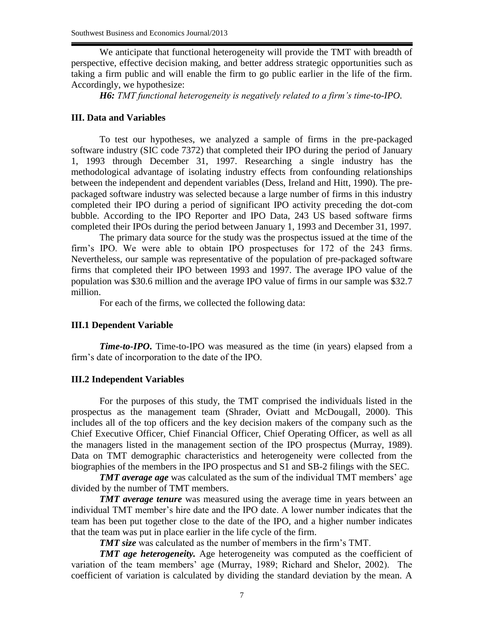We anticipate that functional heterogeneity will provide the TMT with breadth of perspective, effective decision making, and better address strategic opportunities such as taking a firm public and will enable the firm to go public earlier in the life of the firm. Accordingly, we hypothesize:

*H6: TMT functional heterogeneity is negatively related to a firm's time-to-IPO.*

#### **III. Data and Variables**

To test our hypotheses, we analyzed a sample of firms in the pre-packaged software industry (SIC code 7372) that completed their IPO during the period of January 1, 1993 through December 31, 1997. Researching a single industry has the methodological advantage of isolating industry effects from confounding relationships between the independent and dependent variables (Dess, Ireland and Hitt*,* 1990). The prepackaged software industry was selected because a large number of firms in this industry completed their IPO during a period of significant IPO activity preceding the dot-com bubble. According to the IPO Reporter and IPO Data, 243 US based software firms completed their IPOs during the period between January 1, 1993 and December 31, 1997.

The primary data source for the study was the prospectus issued at the time of the firm's IPO. We were able to obtain IPO prospectuses for 172 of the 243 firms. Nevertheless, our sample was representative of the population of pre-packaged software firms that completed their IPO between 1993 and 1997. The average IPO value of the population was \$30.6 million and the average IPO value of firms in our sample was \$32.7 million.

For each of the firms, we collected the following data:

#### **III.1 Dependent Variable**

*Time-to-IPO***.** Time-to-IPO was measured as the time (in years) elapsed from a firm's date of incorporation to the date of the IPO.

#### **III.2 Independent Variables**

For the purposes of this study, the TMT comprised the individuals listed in the prospectus as the management team (Shrader, Oviatt and McDougall*,* 2000). This includes all of the top officers and the key decision makers of the company such as the Chief Executive Officer, Chief Financial Officer, Chief Operating Officer, as well as all the managers listed in the management section of the IPO prospectus (Murray, 1989). Data on TMT demographic characteristics and heterogeneity were collected from the biographies of the members in the IPO prospectus and S1 and SB-2 filings with the SEC.

*TMT average age* was calculated as the sum of the individual TMT members' age divided by the number of TMT members.

*TMT average tenure* was measured using the average time in years between an individual TMT member's hire date and the IPO date. A lower number indicates that the team has been put together close to the date of the IPO, and a higher number indicates that the team was put in place earlier in the life cycle of the firm.

*TMT size* was calculated as the number of members in the firm's TMT.

*TMT age heterogeneity.* Age heterogeneity was computed as the coefficient of variation of the team members' age (Murray, 1989; Richard and Shelor, 2002). The coefficient of variation is calculated by dividing the standard deviation by the mean. A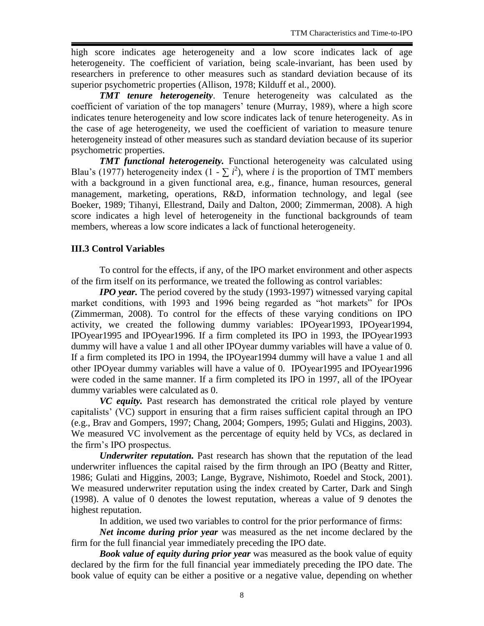high score indicates age heterogeneity and a low score indicates lack of age heterogeneity. The coefficient of variation, being scale-invariant, has been used by researchers in preference to other measures such as standard deviation because of its superior psychometric properties (Allison, 1978; Kilduff et al., 2000).

*TMT tenure heterogeneity*. Tenure heterogeneity was calculated as the coefficient of variation of the top managers' tenure (Murray, 1989), where a high score indicates tenure heterogeneity and low score indicates lack of tenure heterogeneity. As in the case of age heterogeneity, we used the coefficient of variation to measure tenure heterogeneity instead of other measures such as standard deviation because of its superior psychometric properties.

*TMT functional heterogeneity.* Functional heterogeneity was calculated using Blau's (1977) heterogeneity index (1 -  $\sum i^2$ ), where *i* is the proportion of TMT members with a background in a given functional area, e.g., finance, human resources, general management, marketing, operations, R&D, information technology, and legal (see Boeker, 1989; Tihanyi, Ellestrand, Daily and Dalton*,* 2000; Zimmerman, 2008). A high score indicates a high level of heterogeneity in the functional backgrounds of team members, whereas a low score indicates a lack of functional heterogeneity.

## **III.3 Control Variables**

To control for the effects, if any, of the IPO market environment and other aspects of the firm itself on its performance, we treated the following as control variables:

*IPO year.* The period covered by the study (1993-1997) witnessed varying capital market conditions, with 1993 and 1996 being regarded as "hot markets" for IPOs (Zimmerman, 2008). To control for the effects of these varying conditions on IPO activity, we created the following dummy variables: IPOyear1993, IPOyear1994, IPOyear1995 and IPOyear1996. If a firm completed its IPO in 1993, the IPOyear1993 dummy will have a value 1 and all other IPOyear dummy variables will have a value of 0. If a firm completed its IPO in 1994, the IPOyear1994 dummy will have a value 1 and all other IPOyear dummy variables will have a value of 0. IPOyear1995 and IPOyear1996 were coded in the same manner. If a firm completed its IPO in 1997, all of the IPOyear dummy variables were calculated as 0.

*VC equity.* Past research has demonstrated the critical role played by venture capitalists' (VC) support in ensuring that a firm raises sufficient capital through an IPO (e.g., Brav and Gompers, 1997; Chang, 2004; Gompers, 1995; Gulati and Higgins, 2003). We measured VC involvement as the percentage of equity held by VCs, as declared in the firm's IPO prospectus.

*Underwriter reputation.* Past research has shown that the reputation of the lead underwriter influences the capital raised by the firm through an IPO (Beatty and Ritter, 1986; Gulati and Higgins, 2003; Lange, Bygrave, Nishimoto, Roedel and Stock, 2001). We measured underwriter reputation using the index created by Carter, Dark and Singh (1998). A value of 0 denotes the lowest reputation, whereas a value of 9 denotes the highest reputation.

In addition, we used two variables to control for the prior performance of firms:

*Net income during prior year* was measured as the net income declared by the firm for the full financial year immediately preceding the IPO date.

*Book value of equity during prior year* was measured as the book value of equity declared by the firm for the full financial year immediately preceding the IPO date. The book value of equity can be either a positive or a negative value, depending on whether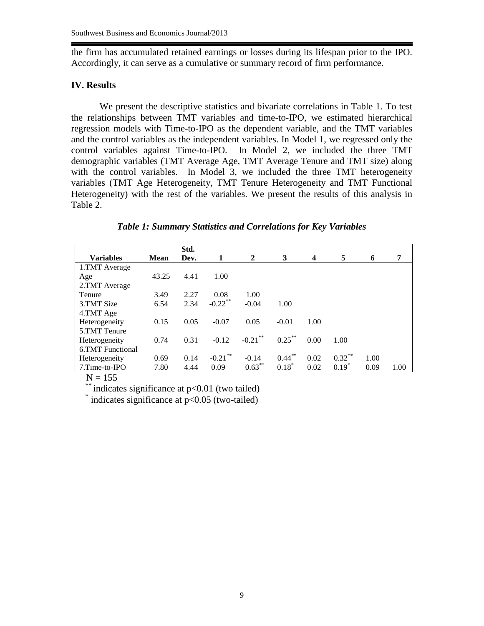the firm has accumulated retained earnings or losses during its lifespan prior to the IPO. Accordingly, it can serve as a cumulative or summary record of firm performance.

#### **IV. Results**

We present the descriptive statistics and bivariate correlations in Table 1. To test the relationships between TMT variables and time-to-IPO, we estimated hierarchical regression models with Time-to-IPO as the dependent variable, and the TMT variables and the control variables as the independent variables. In Model 1, we regressed only the control variables against Time-to-IPO. In Model 2, we included the three TMT demographic variables (TMT Average Age, TMT Average Tenure and TMT size) along with the control variables. In Model 3, we included the three TMT heterogeneity variables (TMT Age Heterogeneity, TMT Tenure Heterogeneity and TMT Functional Heterogeneity) with the rest of the variables. We present the results of this analysis in Table 2.

|                         |             | Std. |            |            |           |                         |           |      |      |
|-------------------------|-------------|------|------------|------------|-----------|-------------------------|-----------|------|------|
| <b>Variables</b>        | <b>Mean</b> | Dev. | 1          | 2          | 3         | $\overline{\mathbf{4}}$ | 5         | 6    | 7    |
| 1.TMT Average           |             |      |            |            |           |                         |           |      |      |
| Age                     | 43.25       | 4.41 | 1.00       |            |           |                         |           |      |      |
| 2.TMT Average           |             |      |            |            |           |                         |           |      |      |
| Tenure                  | 3.49        | 2.27 | 0.08       | 1.00       |           |                         |           |      |      |
| 3.TMT Size              | 6.54        | 2.34 | $-0.22$ ** | $-0.04$    | 1.00      |                         |           |      |      |
| 4.TMT Age               |             |      |            |            |           |                         |           |      |      |
| Heterogeneity           | 0.15        | 0.05 | $-0.07$    | 0.05       | $-0.01$   | 1.00                    |           |      |      |
| 5.TMT Tenure            |             |      |            |            |           |                         |           |      |      |
| Heterogeneity           | 0.74        | 0.31 | $-0.12$    | $-0.21$ ** | $0.25***$ | 0.00                    | 1.00      |      |      |
| <b>6.TMT</b> Functional |             |      |            |            |           |                         |           |      |      |
| Heterogeneity           | 0.69        | 0.14 | $-0.21$ ** | $-0.14$    | $0.44***$ | 0.02                    | $0.32***$ | 1.00 |      |
| 7.Time-to-IPO           | 7.80        | 4.44 | 0.09       | $0.63***$  | $0.18*$   | 0.02                    | $0.19*$   | 0.09 | 1.00 |

*Table 1: Summary Statistics and Correlations for Key Variables*

 $N = 155$ 

\*\*\* indicates significance at p<0.01 (two tailed)

\* indicates significance at p<0.05 (two-tailed)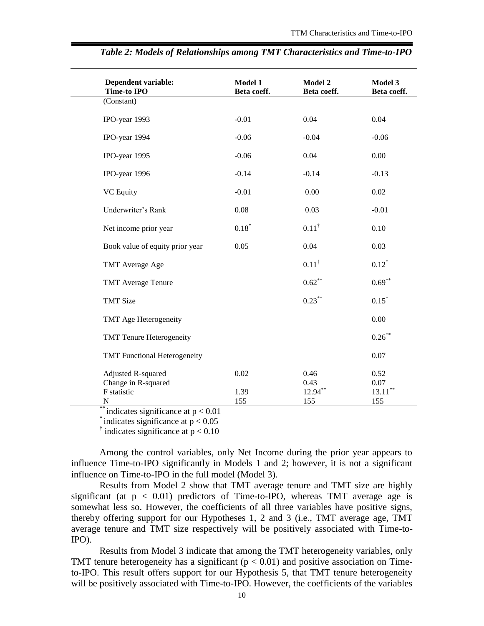| <b>Dependent variable:</b><br><b>Time-to IPO</b>                | Model 1<br>Beta coeff. | Model 2<br>Beta coeff.     | Model 3<br>Beta coeff.     |
|-----------------------------------------------------------------|------------------------|----------------------------|----------------------------|
| (Constant)                                                      |                        |                            |                            |
| IPO-year 1993                                                   | $-0.01$                | 0.04                       | 0.04                       |
| IPO-year 1994                                                   | $-0.06$                | $-0.04$                    | $-0.06$                    |
| IPO-year 1995                                                   | $-0.06$                | 0.04                       | 0.00                       |
| IPO-year 1996                                                   | $-0.14$                | $-0.14$                    | $-0.13$                    |
| <b>VC</b> Equity                                                | $-0.01$                | 0.00                       | 0.02                       |
| Underwriter's Rank                                              | 0.08                   | 0.03                       | $-0.01$                    |
| Net income prior year                                           | $0.18*$                | $0.11^{\dagger}$           | 0.10                       |
| Book value of equity prior year                                 | 0.05                   | 0.04                       | 0.03                       |
| TMT Average Age                                                 |                        | $0.11^{\dagger}$           | $0.12*$                    |
| <b>TMT</b> Average Tenure                                       |                        | $0.62***$                  | $0.69***$                  |
| <b>TMT Size</b>                                                 |                        | $0.23***$                  | $0.15*$                    |
| TMT Age Heterogeneity                                           |                        |                            | 0.00                       |
| <b>TMT Tenure Heterogeneity</b>                                 |                        |                            | $0.26***$                  |
| <b>TMT Functional Heterogeneity</b>                             |                        |                            | 0.07                       |
| <b>Adjusted R-squared</b><br>Change in R-squared<br>F statistic | 0.02<br>1.39           | 0.46<br>0.43<br>$12.94***$ | 0.52<br>0.07<br>$13.11***$ |
| N                                                               | 155                    | 155                        | 155                        |

|  | Table 2: Models of Relationships among TMT Characteristics and Time-to-IPO |  |
|--|----------------------------------------------------------------------------|--|
|  |                                                                            |  |

\*\* indicates significance at  $p < 0.01$ 

 $*$  indicates significance at  $p < 0.05$ 

 $\dagger$  indicates significance at  $p < 0.10$ 

Among the control variables, only Net Income during the prior year appears to influence Time-to-IPO significantly in Models 1 and 2; however, it is not a significant influence on Time-to-IPO in the full model (Model 3).

Results from Model 2 show that TMT average tenure and TMT size are highly significant (at  $p < 0.01$ ) predictors of Time-to-IPO, whereas TMT average age is somewhat less so. However, the coefficients of all three variables have positive signs, thereby offering support for our Hypotheses 1, 2 and 3 (i.e., TMT average age, TMT average tenure and TMT size respectively will be positively associated with Time-to-IPO).

Results from Model 3 indicate that among the TMT heterogeneity variables, only TMT tenure heterogeneity has a significant ( $p < 0.01$ ) and positive association on Timeto-IPO. This result offers support for our Hypothesis 5, that TMT tenure heterogeneity will be positively associated with Time-to-IPO. However, the coefficients of the variables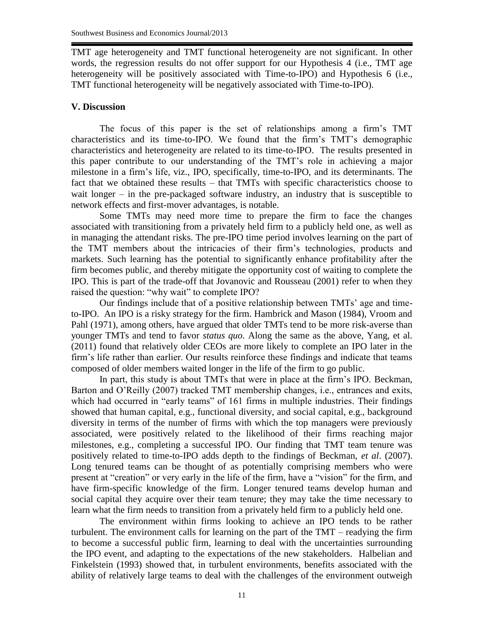TMT age heterogeneity and TMT functional heterogeneity are not significant. In other words, the regression results do not offer support for our Hypothesis 4 (i.e., TMT age heterogeneity will be positively associated with Time-to-IPO) and Hypothesis 6 (i.e., TMT functional heterogeneity will be negatively associated with Time-to-IPO).

# **V. Discussion**

The focus of this paper is the set of relationships among a firm's TMT characteristics and its time-to-IPO. We found that the firm's TMT's demographic characteristics and heterogeneity are related to its time-to-IPO. The results presented in this paper contribute to our understanding of the TMT's role in achieving a major milestone in a firm's life, viz., IPO, specifically, time-to-IPO, and its determinants. The fact that we obtained these results – that TMTs with specific characteristics choose to wait longer – in the pre-packaged software industry, an industry that is susceptible to network effects and first-mover advantages, is notable.

Some TMTs may need more time to prepare the firm to face the changes associated with transitioning from a privately held firm to a publicly held one, as well as in managing the attendant risks. The pre-IPO time period involves learning on the part of the TMT members about the intricacies of their firm's technologies, products and markets. Such learning has the potential to significantly enhance profitability after the firm becomes public, and thereby mitigate the opportunity cost of waiting to complete the IPO. This is part of the trade-off that Jovanovic and Rousseau (2001) refer to when they raised the question: "why wait" to complete IPO?

Our findings include that of a positive relationship between TMTs' age and timeto-IPO. An IPO is a risky strategy for the firm. Hambrick and Mason (1984), Vroom and Pahl (1971), among others, have argued that older TMTs tend to be more risk-averse than younger TMTs and tend to favor *status quo*. Along the same as the above, Yang, et al. (2011) found that relatively older CEOs are more likely to complete an IPO later in the firm's life rather than earlier. Our results reinforce these findings and indicate that teams composed of older members waited longer in the life of the firm to go public.

In part, this study is about TMTs that were in place at the firm's IPO. Beckman, Barton and O'Reilly (2007) tracked TMT membership changes, i.e., entrances and exits, which had occurred in "early teams" of 161 firms in multiple industries. Their findings showed that human capital, e.g., functional diversity, and social capital, e.g., background diversity in terms of the number of firms with which the top managers were previously associated, were positively related to the likelihood of their firms reaching major milestones, e.g., completing a successful IPO. Our finding that TMT team tenure was positively related to time-to-IPO adds depth to the findings of Beckman, *et al*. (2007). Long tenured teams can be thought of as potentially comprising members who were present at "creation" or very early in the life of the firm, have a "vision" for the firm, and have firm-specific knowledge of the firm. Longer tenured teams develop human and social capital they acquire over their team tenure; they may take the time necessary to learn what the firm needs to transition from a privately held firm to a publicly held one.

The environment within firms looking to achieve an IPO tends to be rather turbulent. The environment calls for learning on the part of the TMT – readying the firm to become a successful public firm, learning to deal with the uncertainties surrounding the IPO event, and adapting to the expectations of the new stakeholders. Halbelian and Finkelstein (1993) showed that, in turbulent environments, benefits associated with the ability of relatively large teams to deal with the challenges of the environment outweigh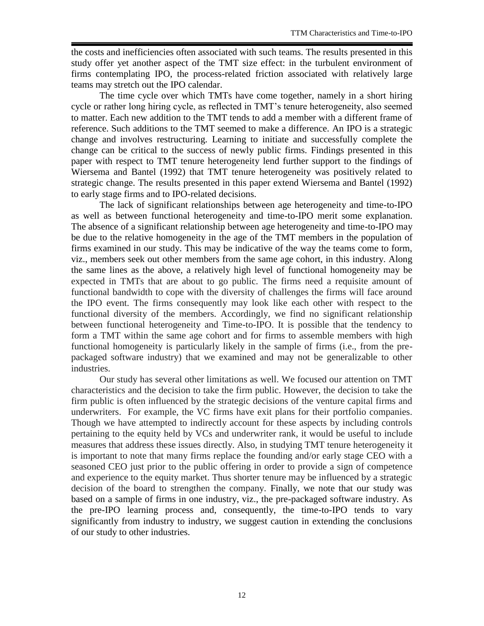the costs and inefficiencies often associated with such teams. The results presented in this study offer yet another aspect of the TMT size effect: in the turbulent environment of firms contemplating IPO, the process-related friction associated with relatively large teams may stretch out the IPO calendar.

The time cycle over which TMTs have come together, namely in a short hiring cycle or rather long hiring cycle, as reflected in TMT's tenure heterogeneity, also seemed to matter. Each new addition to the TMT tends to add a member with a different frame of reference. Such additions to the TMT seemed to make a difference. An IPO is a strategic change and involves restructuring. Learning to initiate and successfully complete the change can be critical to the success of newly public firms. Findings presented in this paper with respect to TMT tenure heterogeneity lend further support to the findings of Wiersema and Bantel (1992) that TMT tenure heterogeneity was positively related to strategic change. The results presented in this paper extend Wiersema and Bantel (1992) to early stage firms and to IPO-related decisions.

The lack of significant relationships between age heterogeneity and time-to-IPO as well as between functional heterogeneity and time-to-IPO merit some explanation. The absence of a significant relationship between age heterogeneity and time-to-IPO may be due to the relative homogeneity in the age of the TMT members in the population of firms examined in our study. This may be indicative of the way the teams come to form, viz., members seek out other members from the same age cohort, in this industry. Along the same lines as the above, a relatively high level of functional homogeneity may be expected in TMTs that are about to go public. The firms need a requisite amount of functional bandwidth to cope with the diversity of challenges the firms will face around the IPO event. The firms consequently may look like each other with respect to the functional diversity of the members. Accordingly, we find no significant relationship between functional heterogeneity and Time-to-IPO. It is possible that the tendency to form a TMT within the same age cohort and for firms to assemble members with high functional homogeneity is particularly likely in the sample of firms (i.e., from the prepackaged software industry) that we examined and may not be generalizable to other industries.

Our study has several other limitations as well. We focused our attention on TMT characteristics and the decision to take the firm public. However, the decision to take the firm public is often influenced by the strategic decisions of the venture capital firms and underwriters. For example, the VC firms have exit plans for their portfolio companies. Though we have attempted to indirectly account for these aspects by including controls pertaining to the equity held by VCs and underwriter rank, it would be useful to include measures that address these issues directly. Also, in studying TMT tenure heterogeneity it is important to note that many firms replace the founding and/or early stage CEO with a seasoned CEO just prior to the public offering in order to provide a sign of competence and experience to the equity market. Thus shorter tenure may be influenced by a strategic decision of the board to strengthen the company. Finally, we note that our study was based on a sample of firms in one industry, viz., the pre-packaged software industry. As the pre-IPO learning process and, consequently, the time-to-IPO tends to vary significantly from industry to industry, we suggest caution in extending the conclusions of our study to other industries.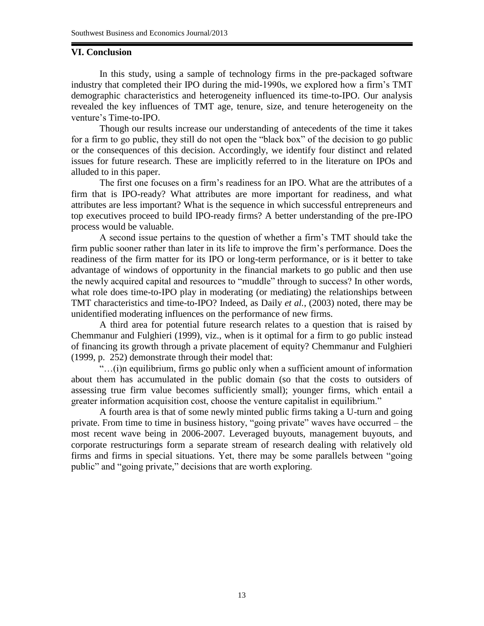# **VI. Conclusion**

In this study, using a sample of technology firms in the pre-packaged software industry that completed their IPO during the mid-1990s, we explored how a firm's TMT demographic characteristics and heterogeneity influenced its time-to-IPO. Our analysis revealed the key influences of TMT age, tenure, size, and tenure heterogeneity on the venture's Time-to-IPO.

Though our results increase our understanding of antecedents of the time it takes for a firm to go public, they still do not open the "black box" of the decision to go public or the consequences of this decision. Accordingly, we identify four distinct and related issues for future research. These are implicitly referred to in the literature on IPOs and alluded to in this paper.

The first one focuses on a firm's readiness for an IPO. What are the attributes of a firm that is IPO-ready? What attributes are more important for readiness, and what attributes are less important? What is the sequence in which successful entrepreneurs and top executives proceed to build IPO-ready firms? A better understanding of the pre-IPO process would be valuable.

A second issue pertains to the question of whether a firm's TMT should take the firm public sooner rather than later in its life to improve the firm's performance. Does the readiness of the firm matter for its IPO or long-term performance, or is it better to take advantage of windows of opportunity in the financial markets to go public and then use the newly acquired capital and resources to "muddle" through to success? In other words, what role does time-to-IPO play in moderating (or mediating) the relationships between TMT characteristics and time-to-IPO? Indeed, as Daily *et al.*, (2003) noted, there may be unidentified moderating influences on the performance of new firms.

A third area for potential future research relates to a question that is raised by Chemmanur and Fulghieri (1999), viz., when is it optimal for a firm to go public instead of financing its growth through a private placement of equity? Chemmanur and Fulghieri (1999, p. 252) demonstrate through their model that:

"…(i)n equilibrium, firms go public only when a sufficient amount of information about them has accumulated in the public domain (so that the costs to outsiders of assessing true firm value becomes sufficiently small); younger firms, which entail a greater information acquisition cost, choose the venture capitalist in equilibrium."

A fourth area is that of some newly minted public firms taking a U-turn and going private. From time to time in business history, "going private" waves have occurred – the most recent wave being in 2006-2007. Leveraged buyouts, management buyouts, and corporate restructurings form a separate stream of research dealing with relatively old firms and firms in special situations. Yet, there may be some parallels between "going public" and "going private," decisions that are worth exploring.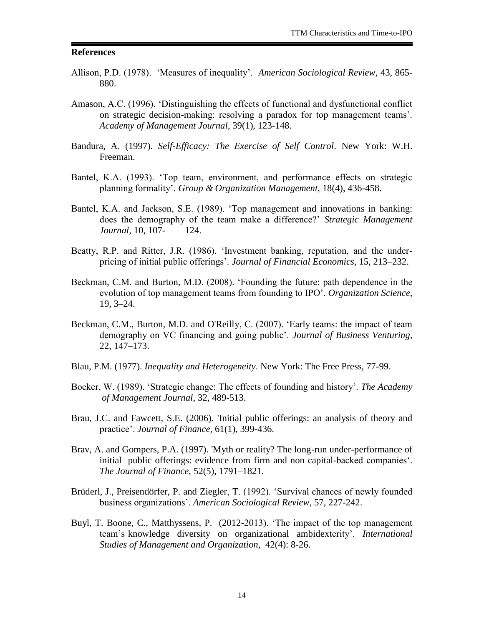### **References**

- Allison, P.D. (1978). 'Measures of inequality'. *American Sociological Review*, 43, 865- 880.
- Amason, A.C. (1996). 'Distinguishing the effects of functional and dysfunctional conflict on strategic decision-making: resolving a paradox for top management teams'. *Academy of Management Journal,* 39(1), 123-148.
- Bandura, A. (1997). *Self-Efficacy: The Exercise of Self Control*. New York: W.H. Freeman.
- Bantel, K.A. (1993). 'Top team, environment, and performance effects on strategic planning formality'. *Group & Organization Management*, 18(4), 436-458.
- Bantel, K.A. and Jackson, S.E. (1989). 'Top management and innovations in banking: does the demography of the team make a difference?' *Strategic Management Journal,* 10, 107- 124.
- Beatty, R.P. and Ritter, J.R. (1986). 'Investment banking, reputation, and the underpricing of initial public offerings'. *Journal of Financial Economics,* 15, 213–232.
- Beckman, C.M. and Burton, M.D. (2008). 'Founding the future: path dependence in the evolution of top management teams from founding to IPO'. *Organization Science,* 19, 3–24.
- Beckman, C.M., Burton, M.D. and O'Reilly, C. (2007). 'Early teams: the impact of team demography on VC financing and going public'. *Journal of Business Venturing,* 22, 147–173.
- Blau, P.M. (1977). *Inequality and Heterogeneity*. New York: The Free Press, 77-99.
- Boeker, W. (1989). 'Strategic change: The effects of founding and history'. *The Academy of Management Journal,* 32, 489-513.
- Brau, J.C. and Fawcett, S.E. (2006). 'Initial public offerings: an analysis of theory and practice'. *Journal of Finance,* 61(1), 399-436.
- Brav, A. and Gompers, P.A. (1997). 'Myth or reality? The long-run under-performance of initial public offerings: evidence from firm and non capital-backed companies'. *The Journal of Finance,* 52(5), 1791–1821.
- Brüderl, J., Preisendörfer, P. and Ziegler, T. (1992). 'Survival chances of newly founded business organizations'. *American Sociological Review,* 57, 227-242.
- Buyl, T. Boone, C., Matthyssens, P. (2012-2013). 'The impact of the top management team's knowledge diversity on organizational ambidexterity'. *International Studies of Management and Organization*, 42(4): 8-26.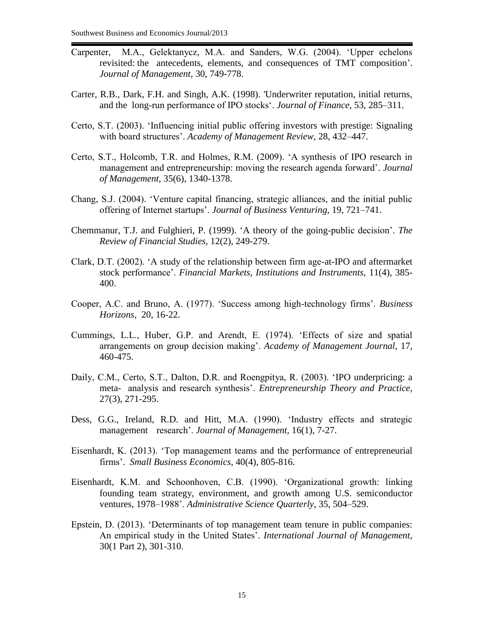- Carpenter, M.A., Gelektanycz, M.A. and Sanders, W.G. (2004). 'Upper echelons revisited: the antecedents, elements, and consequences of TMT composition'. *Journal of Management,* 30, 749-778.
- Carter, R.B., Dark, F.H. and Singh, A.K. (1998). 'Underwriter reputation, initial returns, and the long-run performance of IPO stocks'. *Journal of Finance,* 53, 285–311.
- Certo, S.T. (2003). 'Influencing initial public offering investors with prestige: Signaling with board structures'. *Academy of Management Review*, 28, 432–447.
- Certo, S.T., Holcomb, T.R. and Holmes, R.M. (2009). 'A synthesis of IPO research in management and entrepreneurship: moving the research agenda forward'. *Journal of Management,* 35(6), 1340-1378.
- Chang, S.J. (2004). 'Venture capital financing, strategic alliances, and the initial public offering of Internet startups'. *Journal of Business Venturing,* 19, 721–741.
- Chemmanur, T.J. and Fulghieri, P. (1999). 'A theory of the going-public decision'. *The Review of Financial Studies,* 12(2), 249-279.
- Clark, D.T. (2002). 'A study of the relationship between firm age-at-IPO and aftermarket stock performance'. *Financial Markets, Institutions and Instruments,* 11(4), 385- 400.
- Cooper, A.C. and Bruno, A. (1977). 'Success among high-technology firms'. *Business Horizons,* 20, 16-22.
- Cummings, L.L., Huber, G.P. and Arendt, E. (1974). 'Effects of size and spatial arrangements on group decision making'. *Academy of Management Journal,* 17, 460-475.
- Daily, C.M., Certo, S.T., Dalton, D.R. and Roengpitya, R. (2003). 'IPO underpricing: a meta- analysis and research synthesis'. *Entrepreneurship Theory and Practice,* 27(3), 271-295.
- Dess, G.G., Ireland, R.D. and Hitt, M.A. (1990). 'Industry effects and strategic management research'. *Journal of Management,* 16(1), 7-27.
- Eisenhardt, K. (2013). 'Top management teams and the performance of entrepreneurial firms'. *Small Business Economics*, 40(4), 805-816.
- Eisenhardt, K.M. and Schoonhoven, C.B. (1990). 'Organizational growth: linking founding team strategy, environment, and growth among U.S. semiconductor ventures, 1978–1988'. *Administrative Science Quarterly,* 35, 504–529.
- Epstein, D. (2013). 'Determinants of top management team tenure in public companies: An empirical study in the United States'. *International Journal of Management*, 30(1 Part 2), 301-310.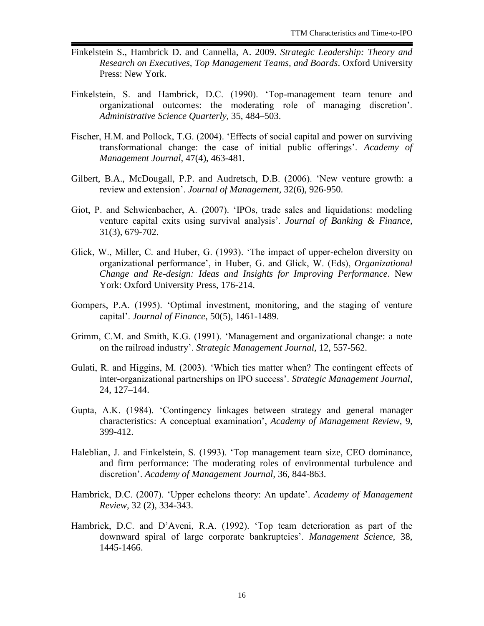- Finkelstein S., Hambrick D. and Cannella, A. 2009. *Strategic Leadership: Theory and Research on Executives, Top Management Teams, and Boards*. Oxford University Press: New York.
- Finkelstein, S. and Hambrick, D.C. (1990). 'Top-management team tenure and organizational outcomes: the moderating role of managing discretion'. *Administrative Science Quarterly,* 35, 484–503.
- Fischer, H.M. and Pollock, T.G. (2004). 'Effects of social capital and power on surviving transformational change: the case of initial public offerings'. *Academy of Management Journal,* 47(4), 463-481.
- Gilbert, B.A., McDougall, P.P. and Audretsch, D.B. (2006). 'New venture growth: a review and extension'. *Journal of Management,* 32(6), 926-950.
- Giot, P. and Schwienbacher, A. (2007). 'IPOs, trade sales and liquidations: modeling venture capital exits using survival analysis'. *Journal of Banking & Finance,* 31(3), 679-702.
- Glick, W., Miller, C. and Huber, G. (1993). 'The impact of upper-echelon diversity on organizational performance', in Huber, G. and Glick, W. (Eds), *Organizational Change and Re-design: Ideas and Insights for Improving Performance*. New York: Oxford University Press, 176-214.
- Gompers, P.A. (1995). 'Optimal investment, monitoring, and the staging of venture capital'. *Journal of Finance*, 50(5), 1461-1489.
- Grimm, C.M. and Smith, K.G. (1991). 'Management and organizational change: a note on the railroad industry'. *Strategic Management Journal,* 12, 557-562.
- Gulati, R. and Higgins, M. (2003). 'Which ties matter when? The contingent effects of inter-organizational partnerships on IPO success'. *Strategic Management Journal,* 24, 127–144.
- Gupta, A.K. (1984). 'Contingency linkages between strategy and general manager characteristics: A conceptual examination', *Academy of Management Review*, 9, 399-412.
- Haleblian, J. and Finkelstein, S. (1993). 'Top management team size, CEO dominance, and firm performance: The moderating roles of environmental turbulence and discretion'. *Academy of Management Journal,* 36, 844-863.
- Hambrick, D.C. (2007). 'Upper echelons theory: An update'. *Academy of Management Review,* 32 (2), 334-343.
- Hambrick, D.C. and D'Aveni, R.A. (1992). 'Top team deterioration as part of the downward spiral of large corporate bankruptcies'. *Management Science,* 38, 1445-1466.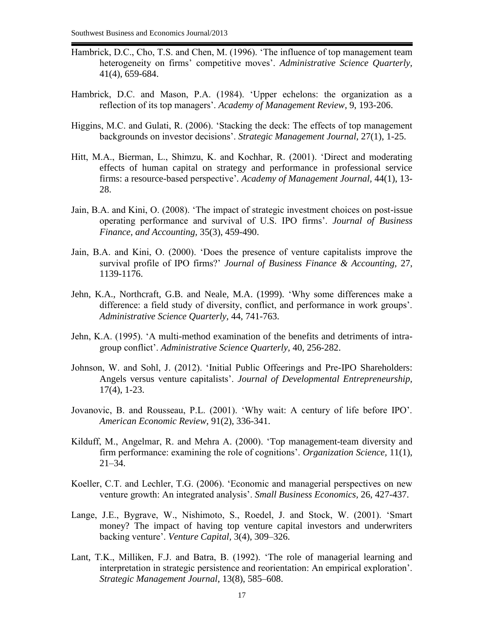- Hambrick, D.C., Cho, T.S. and Chen, M. (1996). 'The influence of top management team heterogeneity on firms' competitive moves'. *Administrative Science Quarterly,* 41(4), 659-684.
- Hambrick, D.C. and Mason, P.A. (1984). 'Upper echelons: the organization as a reflection of its top managers'. *Academy of Management Review*, 9, 193-206.
- Higgins, M.C. and Gulati, R. (2006). 'Stacking the deck: The effects of top management backgrounds on investor decisions'. *Strategic Management Journal,* 27(1), 1-25.
- Hitt, M.A., Bierman, L., Shimzu, K. and Kochhar, R. (2001). 'Direct and moderating effects of human capital on strategy and performance in professional service firms: a resource-based perspective'*. Academy of Management Journal,* 44(1), 13- 28.
- Jain, B.A. and Kini, O. (2008). 'The impact of strategic investment choices on post-issue operating performance and survival of U.S. IPO firms'. *Journal of Business Finance, and Accounting,* 35(3), 459-490.
- Jain, B.A. and Kini, O. (2000). 'Does the presence of venture capitalists improve the survival profile of IPO firms?' *Journal of Business Finance & Accounting,* 27, 1139-1176.
- Jehn, K.A., Northcraft, G.B. and Neale, M.A. (1999). 'Why some differences make a difference: a field study of diversity, conflict, and performance in work groups'. *Administrative Science Quarterly,* 44, 741-763.
- Jehn, K.A. (1995). 'A multi-method examination of the benefits and detriments of intragroup conflict'. *Administrative Science Quarterly,* 40, 256-282.
- Johnson, W. and Sohl, J. (2012). 'Initial Public Offeerings and Pre-IPO Shareholders: Angels versus venture capitalists'. *Journal of Developmental Entrepreneurship,* 17(4), 1-23.
- Jovanovic, B. and Rousseau, P.L. (2001). 'Why wait: A century of life before IPO'. *American Economic Review,* 91(2), 336-341.
- Kilduff, M., Angelmar, R. and Mehra A. (2000). 'Top management-team diversity and firm performance: examining the role of cognitions'. *Organization Science,* 11(1), 21–34.
- Koeller, C.T. and Lechler, T.G. (2006). 'Economic and managerial perspectives on new venture growth: An integrated analysis'. *Small Business Economics,* 26, 427-437.
- Lange, J.E., Bygrave, W., Nishimoto, S., Roedel, J. and Stock, W. (2001). 'Smart money? The impact of having top venture capital investors and underwriters backing venture'. *Venture Capital,* 3(4), 309–326.
- Lant, T.K., Milliken, F.J. and Batra, B. (1992). 'The role of managerial learning and interpretation in strategic persistence and reorientation: An empirical exploration'. *Strategic Management Journal*, 13(8), 585–608.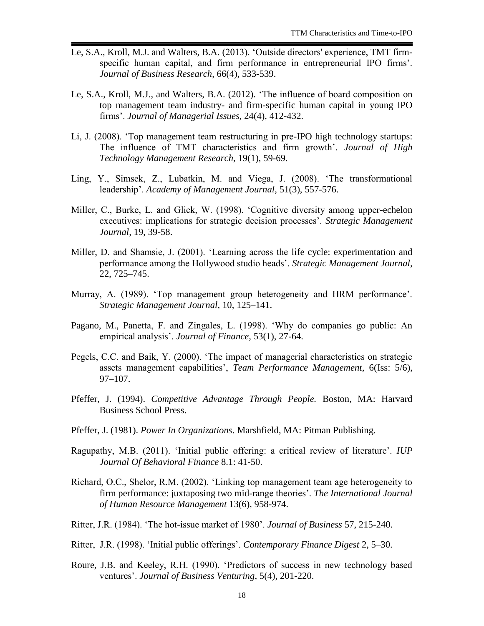- Le, S.A., Kroll, M.J. and Walters, B.A. (2013). 'Outside directors' experience, TMT firmspecific human capital, and firm performance in entrepreneurial IPO firms'. *Journal of Business Research*, 66(4), 533-539.
- Le, S.A., Kroll, M.J., and Walters, B.A. (2012). 'The influence of board composition on top management team industry- and firm-specific human capital in young IPO firms'. *Journal of Managerial Issues*, 24(4), 412-432.
- Li, J. (2008). 'Top management team restructuring in pre-IPO high technology startups: The influence of TMT characteristics and firm growth'. *Journal of High Technology Management Research*, 19(1), 59-69.
- Ling, Y., Simsek, Z., Lubatkin, M. and Viega, J. (2008). 'The transformational leadership'. *Academy of Management Journal,* 51(3), 557-576.
- Miller, C., Burke, L. and Glick, W. (1998). 'Cognitive diversity among upper-echelon executives: implications for strategic decision processes'. *Strategic Management Journal,* 19, 39-58.
- Miller, D. and Shamsie, J. (2001). 'Learning across the life cycle: experimentation and performance among the Hollywood studio heads'. *Strategic Management Journal,* 22, 725–745.
- Murray, A. (1989). 'Top management group heterogeneity and HRM performance'. *Strategic Management Journal,* 10, 125–141.
- Pagano, M., Panetta, F. and Zingales, L. (1998). 'Why do companies go public: An empirical analysis'. *Journal of Finance,* 53(1), 27-64.
- Pegels, C.C. and Baik, Y. (2000). 'The impact of managerial characteristics on strategic assets management capabilities', *Team Performance Management*, 6(Iss: 5/6), 97–107.
- Pfeffer, J. (1994). *Competitive Advantage Through People.* Boston, MA: Harvard Business School Press.
- Pfeffer, J. (1981). *Power In Organizations*. Marshfield, MA: Pitman Publishing.
- Ragupathy, M.B. (2011). 'Initial public offering: a critical review of literature'. *IUP Journal Of Behavioral Finance* 8.1: 41-50.
- Richard, O.C., Shelor, R.M. (2002). 'Linking top management team age heterogeneity to firm performance: juxtaposing two mid-range theories'. *The International Journal of Human Resource Management* 13(6), 958-974.
- Ritter, J.R. (1984). 'The hot-issue market of 1980'. *Journal of Business* 57, 215-240.
- Ritter, J.R. (1998). 'Initial public offerings'. *Contemporary Finance Digest* 2, 5–30.
- Roure, J.B. and Keeley, R.H. (1990). 'Predictors of success in new technology based ventures'. *Journal of Business Venturing*, 5(4), 201-220.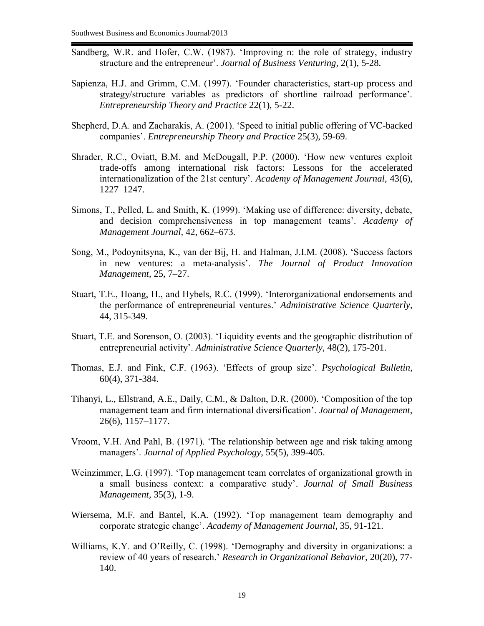- Sandberg, W.R. and Hofer, C.W. (1987). 'Improving n: the role of strategy, industry structure and the entrepreneur'. *Journal of Business Venturing,* 2(1), 5-28.
- Sapienza, H.J. and Grimm, C.M. (1997). 'Founder characteristics, start-up process and strategy/structure variables as predictors of shortline railroad performance'. *Entrepreneurship Theory and Practice* 22(1), 5-22.
- Shepherd, D.A. and Zacharakis, A. (2001). 'Speed to initial public offering of VC-backed companies'. *Entrepreneurship Theory and Practice* 25(3), 59-69.
- Shrader, R.C., Oviatt, B.M. and McDougall, P.P. (2000). 'How new ventures exploit trade-offs among international risk factors: Lessons for the accelerated internationalization of the 21st century'. *Academy of Management Journal*, 43(6), 1227–1247.
- Simons, T., Pelled, L. and Smith, K. (1999). 'Making use of difference: diversity, debate, and decision comprehensiveness in top management teams'. *Academy of Management Journal,* 42, 662–673.
- Song, M., Podoynitsyna, K., van der Bij, H. and Halman, J.I.M. (2008). 'Success factors in new ventures: a meta-analysis'. *The Journal of Product Innovation Management,* 25, 7–27.
- Stuart, T.E., Hoang, H., and Hybels, R.C. (1999). 'Interorganizational endorsements and the performance of entrepreneurial ventures.' *Administrative Science Quarterly*, 44, 315-349.
- Stuart, T.E. and Sorenson, O. (2003). 'Liquidity events and the geographic distribution of entrepreneurial activity'. *Administrative Science Quarterly,* 48(2), 175-201.
- Thomas, E.J. and Fink, C.F. (1963). 'Effects of group size'. *Psychological Bulletin*, 60(4), 371-384.
- Tihanyi, L., Ellstrand, A.E., Daily, C.M., & Dalton, D.R. (2000). 'Composition of the top management team and firm international diversification'. *Journal of Management*, 26(6), 1157–1177.
- Vroom, V.H. And Pahl, B. (1971). 'The relationship between age and risk taking among managers'. *Journal of Applied Psychology*, 55(5), 399-405.
- Weinzimmer, L.G. (1997). 'Top management team correlates of organizational growth in a small business context: a comparative study'. *Journal of Small Business Management,* 35(3), 1-9.
- Wiersema, M.F. and Bantel, K.A. (1992). 'Top management team demography and corporate strategic change'. *Academy of Management Journal*, 35, 91-121.
- Williams, K.Y. and O'Reilly, C. (1998). 'Demography and diversity in organizations: a review of 40 years of research.' *Research in Organizational Behavior,* 20(20), 77- 140.